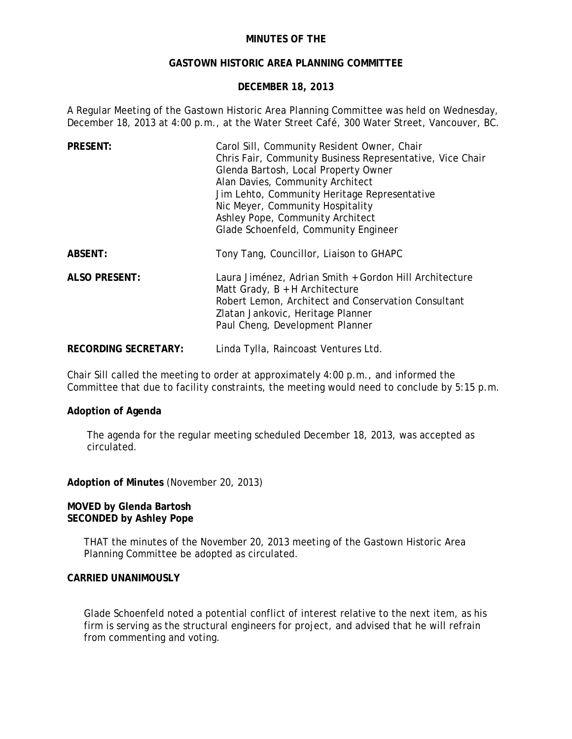## **MINUTES OF THE**

## **GASTOWN HISTORIC AREA PLANNING COMMITTEE**

## **DECEMBER 18, 2013**

A Regular Meeting of the Gastown Historic Area Planning Committee was held on Wednesday, December 18, 2013 at 4:00 p.m., at the Water Street Café, 300 Water Street, Vancouver, BC.

| <b>PRESENT:</b>             | Carol Sill, Community Resident Owner, Chair<br>Chris Fair, Community Business Representative, Vice Chair<br>Glenda Bartosh, Local Property Owner<br>Alan Davies, Community Architect<br>Jim Lehto, Community Heritage Representative<br>Nic Meyer, Community Hospitality<br>Ashley Pope, Community Architect<br>Glade Schoenfeld, Community Engineer |
|-----------------------------|------------------------------------------------------------------------------------------------------------------------------------------------------------------------------------------------------------------------------------------------------------------------------------------------------------------------------------------------------|
| ABSENT:                     | Tony Tang, Councillor, Liaison to GHAPC                                                                                                                                                                                                                                                                                                              |
| <b>ALSO PRESENT:</b>        | Laura Jiménez, Adrian Smith + Gordon Hill Architecture<br>Matt Grady, $B + H$ Architecture<br>Robert Lemon, Architect and Conservation Consultant<br>Zlatan Jankovic, Heritage Planner<br>Paul Cheng, Development Planner                                                                                                                            |
| <b>RECORDING SECRETARY:</b> | Linda Tylla, Raincoast Ventures Ltd.                                                                                                                                                                                                                                                                                                                 |

Chair Sill called the meeting to order at approximately 4:00 p.m., and informed the Committee that due to facility constraints, the meeting would need to conclude by 5:15 p.m.

#### **Adoption of Agenda**

The agenda for the regular meeting scheduled December 18, 2013, was accepted as circulated.

**Adoption of Minutes** (November 20, 2013)

#### **MOVED by Glenda Bartosh SECONDED by Ashley Pope**

THAT the minutes of the November 20, 2013 meeting of the Gastown Historic Area Planning Committee be adopted as circulated.

## **CARRIED UNANIMOUSLY**

Glade Schoenfeld noted a potential conflict of interest relative to the next item, as his firm is serving as the structural engineers for project, and advised that he will refrain from commenting and voting.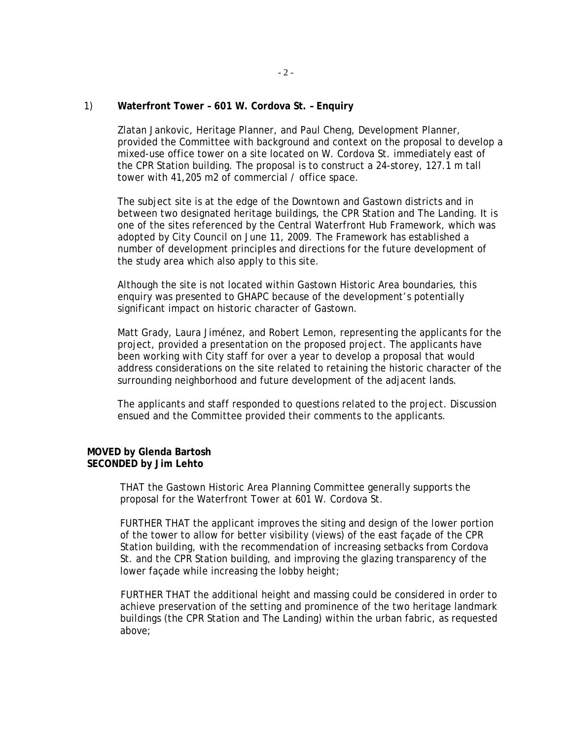#### 1) **Waterfront Tower – 601 W. Cordova St. – Enquiry**

Zlatan Jankovic, Heritage Planner, and Paul Cheng, Development Planner, provided the Committee with background and context on the proposal to develop a mixed-use office tower on a site located on W. Cordova St. immediately east of the CPR Station building. The proposal is to construct a 24-storey, 127.1 m tall tower with 41,205 m2 of commercial / office space.

The subject site is at the edge of the Downtown and Gastown districts and in between two designated heritage buildings, the CPR Station and The Landing. It is one of the sites referenced by the Central Waterfront Hub Framework, which was adopted by City Council on June 11, 2009. The Framework has established a number of development principles and directions for the future development of the study area which also apply to this site.

Although the site is not located within Gastown Historic Area boundaries, this enquiry was presented to GHAPC because of the development's potentially significant impact on historic character of Gastown.

Matt Grady, Laura Jiménez, and Robert Lemon, representing the applicants for the project, provided a presentation on the proposed project. The applicants have been working with City staff for over a year to develop a proposal that would address considerations on the site related to retaining the historic character of the surrounding neighborhood and future development of the adjacent lands.

The applicants and staff responded to questions related to the project. Discussion ensued and the Committee provided their comments to the applicants.

#### **MOVED by Glenda Bartosh SECONDED by Jim Lehto**

THAT the Gastown Historic Area Planning Committee generally supports the proposal for the Waterfront Tower at 601 W. Cordova St.

FURTHER THAT the applicant improves the siting and design of the lower portion of the tower to allow for better visibility (views) of the east façade of the CPR Station building, with the recommendation of increasing setbacks from Cordova St. and the CPR Station building, and improving the glazing transparency of the lower façade while increasing the lobby height;

FURTHER THAT the additional height and massing could be considered in order to achieve preservation of the setting and prominence of the two heritage landmark buildings (the CPR Station and The Landing) within the urban fabric, as requested above;